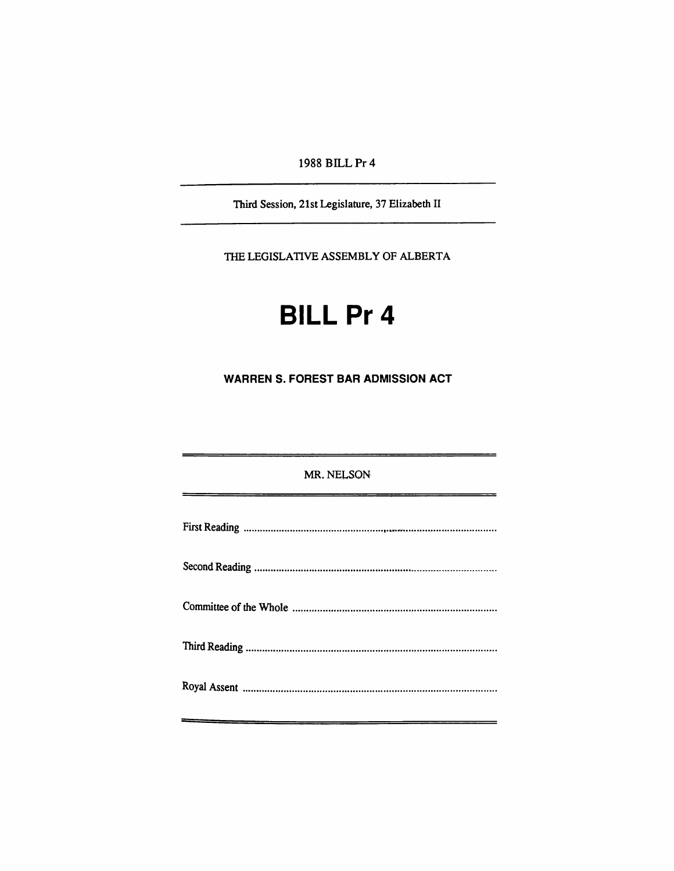1988 BILLPr 4

Third Session, 21st Legislature, 37 Elizabeth II

THE LEGISLATIVE ASSEMBLY OF ALBERTA

## **BILL Pr 4**

**WARREN S. FOREST BAR ADMISSION ACT** 

MR. NELSON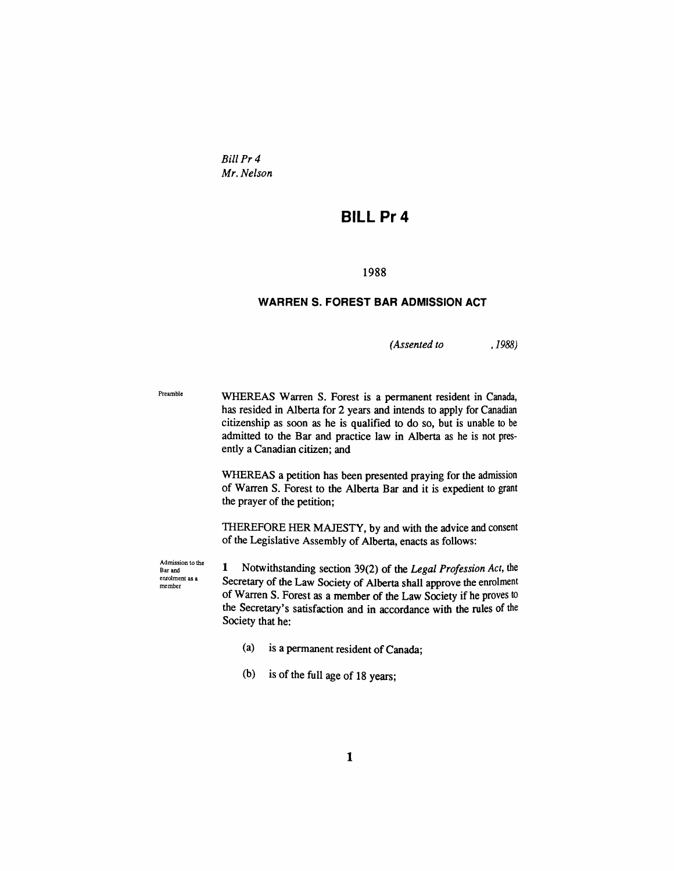*BillPr4 Mr. Nelson* 

## **BILLPr 4**

## 1988

## **WARREN S. FOREST BAR ADMISSION ACT**

*(Assented to .1988)* 

Preamble WHEREAS Warren S. Forest is a permanent resident in Canada, has resided in Alberta for 2 years and intends to apply for Canadian citizenship as soon as he is qualified to do so, but is unable to be admitted to the Bar and practice law in Alberta as he is not presendy a Canadian citizen; and

> WHEREAS a petition has been presented praying for the admission of Warten S. Forest to the Alberta Bar and it is expedient to grant the prayer of the petition;

> THEREFORE HER MAJESTY, by and with the advice and consent of the Legislative Assembly of Alberta, enacts as follows:

Admission to the Bar and enrolment as a member

1 Notwithstanding section 39(2) of the Legal Profession Act, the Secretary of die Law Society of Alberta shall approve die emolment of Warren S. Forest as a member of die Law Society if he proves to the Secretary's satisfaction and in accordance with the rules of the Society that he:

- (a) is a permanent resident of Canada;
- (b) is of the full age of 18 years;